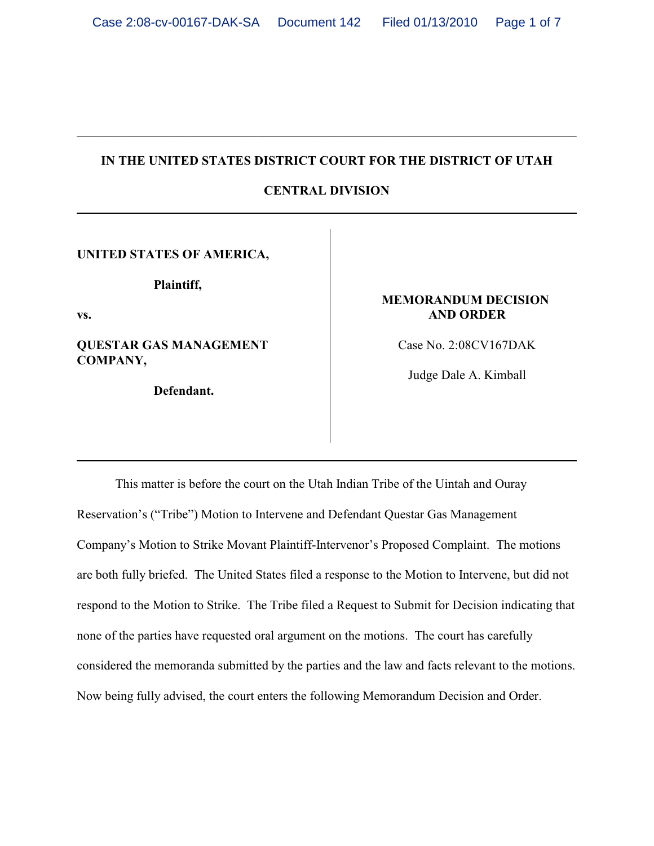## **IN THE UNITED STATES DISTRICT COURT FOR THE DISTRICT OF UTAH**

# **CENTRAL DIVISION**

**UNITED STATES OF AMERICA,**

**Plaintiff,** 

**vs.**

**QUESTAR GAS MANAGEMENT COMPANY,**

**Defendant.**

### **MEMORANDUM DECISION AND ORDER**

Case No. 2:08CV167DAK

Judge Dale A. Kimball

This matter is before the court on the Utah Indian Tribe of the Uintah and Ouray Reservation's ("Tribe") Motion to Intervene and Defendant Questar Gas Management Company's Motion to Strike Movant Plaintiff-Intervenor's Proposed Complaint. The motions are both fully briefed. The United States filed a response to the Motion to Intervene, but did not respond to the Motion to Strike. The Tribe filed a Request to Submit for Decision indicating that none of the parties have requested oral argument on the motions. The court has carefully considered the memoranda submitted by the parties and the law and facts relevant to the motions. Now being fully advised, the court enters the following Memorandum Decision and Order.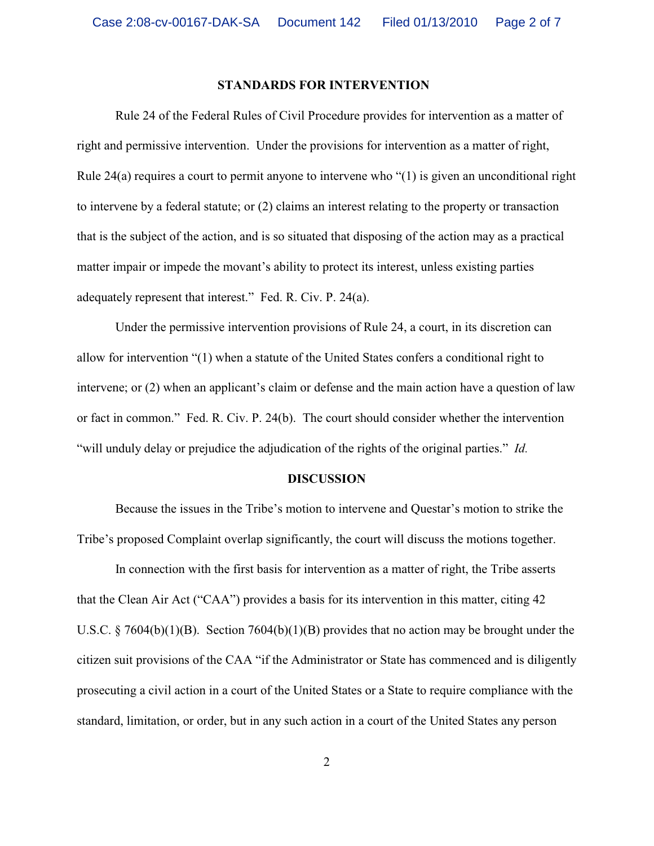### **STANDARDS FOR INTERVENTION**

Rule 24 of the Federal Rules of Civil Procedure provides for intervention as a matter of right and permissive intervention. Under the provisions for intervention as a matter of right, Rule 24(a) requires a court to permit anyone to intervene who "(1) is given an unconditional right to intervene by a federal statute; or (2) claims an interest relating to the property or transaction that is the subject of the action, and is so situated that disposing of the action may as a practical matter impair or impede the movant's ability to protect its interest, unless existing parties adequately represent that interest." Fed. R. Civ. P. 24(a).

Under the permissive intervention provisions of Rule 24, a court, in its discretion can allow for intervention "(1) when a statute of the United States confers a conditional right to intervene; or (2) when an applicant's claim or defense and the main action have a question of law or fact in common." Fed. R. Civ. P. 24(b). The court should consider whether the intervention "will unduly delay or prejudice the adjudication of the rights of the original parties." *Id.*

#### **DISCUSSION**

Because the issues in the Tribe's motion to intervene and Questar's motion to strike the Tribe's proposed Complaint overlap significantly, the court will discuss the motions together.

In connection with the first basis for intervention as a matter of right, the Tribe asserts that the Clean Air Act ("CAA") provides a basis for its intervention in this matter, citing 42 U.S.C. § 7604(b)(1)(B). Section 7604(b)(1)(B) provides that no action may be brought under the citizen suit provisions of the CAA "if the Administrator or State has commenced and is diligently prosecuting a civil action in a court of the United States or a State to require compliance with the standard, limitation, or order, but in any such action in a court of the United States any person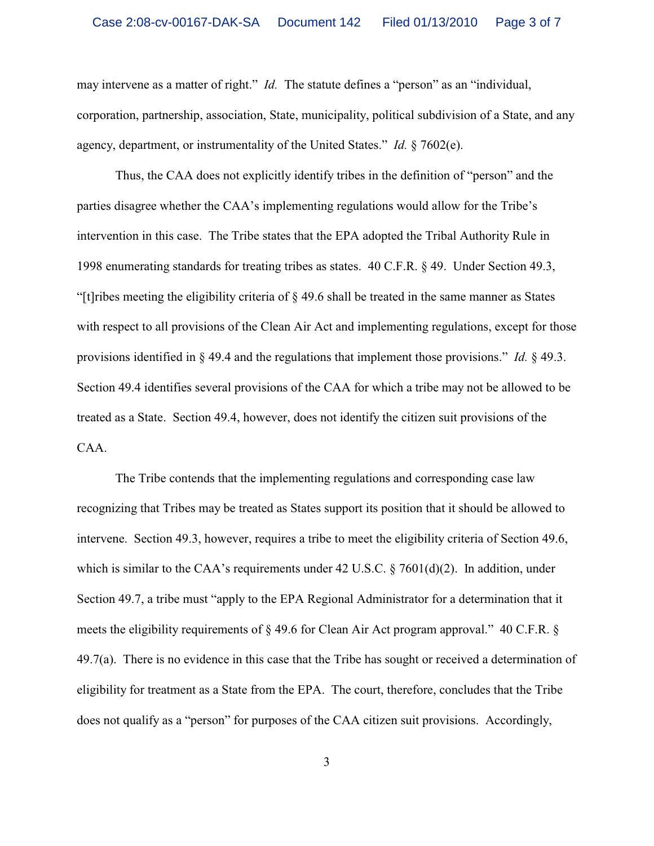may intervene as a matter of right." *Id.* The statute defines a "person" as an "individual, corporation, partnership, association, State, municipality, political subdivision of a State, and any agency, department, or instrumentality of the United States." *Id.* § 7602(e).

Thus, the CAA does not explicitly identify tribes in the definition of "person" and the parties disagree whether the CAA's implementing regulations would allow for the Tribe's intervention in this case. The Tribe states that the EPA adopted the Tribal Authority Rule in 1998 enumerating standards for treating tribes as states. 40 C.F.R. § 49. Under Section 49.3, "[t]ribes meeting the eligibility criteria of § 49.6 shall be treated in the same manner as States with respect to all provisions of the Clean Air Act and implementing regulations, except for those provisions identified in § 49.4 and the regulations that implement those provisions." *Id.* § 49.3. Section 49.4 identifies several provisions of the CAA for which a tribe may not be allowed to be treated as a State. Section 49.4, however, does not identify the citizen suit provisions of the CAA.

The Tribe contends that the implementing regulations and corresponding case law recognizing that Tribes may be treated as States support its position that it should be allowed to intervene. Section 49.3, however, requires a tribe to meet the eligibility criteria of Section 49.6, which is similar to the CAA's requirements under 42 U.S.C.  $\S$  7601(d)(2). In addition, under Section 49.7, a tribe must "apply to the EPA Regional Administrator for a determination that it meets the eligibility requirements of § 49.6 for Clean Air Act program approval." 40 C.F.R. §  $49.7(a)$ . There is no evidence in this case that the Tribe has sought or received a determination of eligibility for treatment as a State from the EPA. The court, therefore, concludes that the Tribe does not qualify as a "person" for purposes of the CAA citizen suit provisions. Accordingly,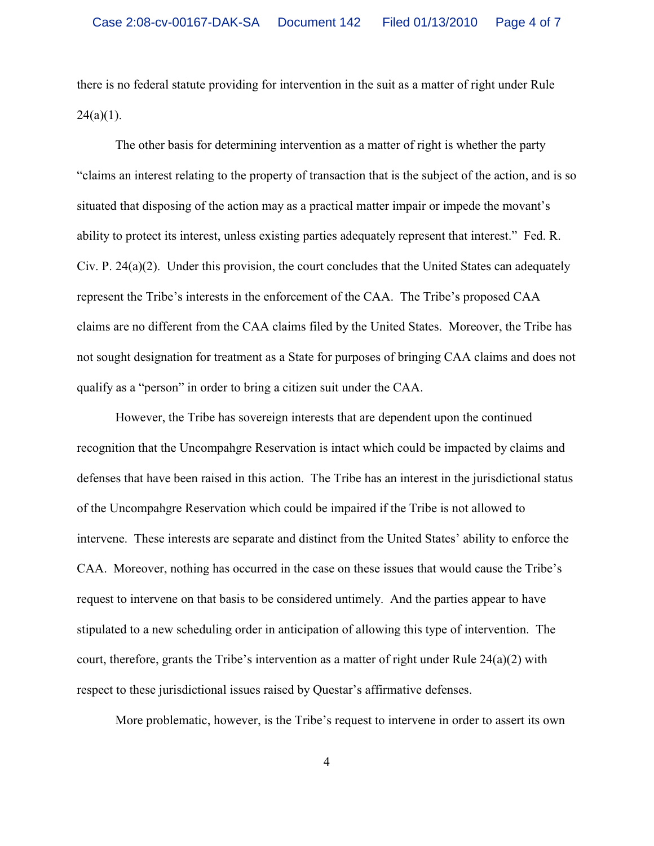there is no federal statute providing for intervention in the suit as a matter of right under Rule  $24(a)(1)$ .

The other basis for determining intervention as a matter of right is whether the party "claims an interest relating to the property of transaction that is the subject of the action, and is so situated that disposing of the action may as a practical matter impair or impede the movant's ability to protect its interest, unless existing parties adequately represent that interest." Fed. R. Civ. P. 24(a)(2). Under this provision, the court concludes that the United States can adequately represent the Tribe's interests in the enforcement of the CAA. The Tribe's proposed CAA claims are no different from the CAA claims filed by the United States. Moreover, the Tribe has not sought designation for treatment as a State for purposes of bringing CAA claims and does not qualify as a "person" in order to bring a citizen suit under the CAA.

However, the Tribe has sovereign interests that are dependent upon the continued recognition that the Uncompahgre Reservation is intact which could be impacted by claims and defenses that have been raised in this action. The Tribe has an interest in the jurisdictional status of the Uncompahgre Reservation which could be impaired if the Tribe is not allowed to intervene. These interests are separate and distinct from the United States' ability to enforce the CAA. Moreover, nothing has occurred in the case on these issues that would cause the Tribe's request to intervene on that basis to be considered untimely. And the parties appear to have stipulated to a new scheduling order in anticipation of allowing this type of intervention. The court, therefore, grants the Tribe's intervention as a matter of right under Rule 24(a)(2) with respect to these jurisdictional issues raised by Questar's affirmative defenses.

More problematic, however, is the Tribe's request to intervene in order to assert its own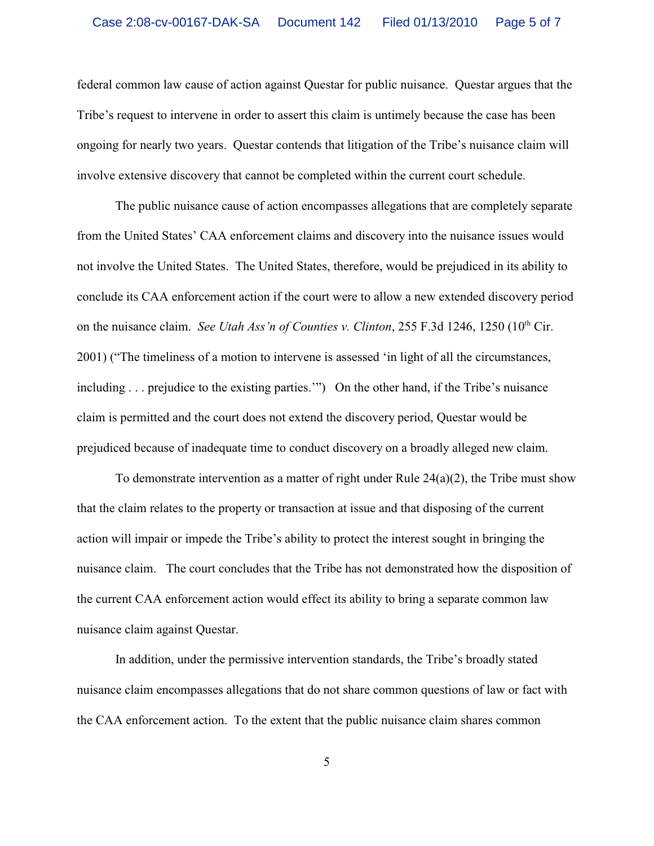federal common law cause of action against Questar for public nuisance. Questar argues that the Tribe's request to intervene in order to assert this claim is untimely because the case has been ongoing for nearly two years. Questar contends that litigation of the Tribe's nuisance claim will involve extensive discovery that cannot be completed within the current court schedule.

The public nuisance cause of action encompasses allegations that are completely separate from the United States' CAA enforcement claims and discovery into the nuisance issues would not involve the United States. The United States, therefore, would be prejudiced in its ability to conclude its CAA enforcement action if the court were to allow a new extended discovery period on the nuisance claim. *See Utah Ass'n of Counties v. Clinton*, 255 F.3d 1246, 1250 (10<sup>th</sup> Cir. 2001) ("The timeliness of a motion to intervene is assessed 'in light of all the circumstances, including . . . prejudice to the existing parties."") On the other hand, if the Tribe's nuisance claim is permitted and the court does not extend the discovery period, Questar would be prejudiced because of inadequate time to conduct discovery on a broadly alleged new claim.

To demonstrate intervention as a matter of right under Rule 24(a)(2), the Tribe must show that the claim relates to the property or transaction at issue and that disposing of the current action will impair or impede the Tribe's ability to protect the interest sought in bringing the nuisance claim. The court concludes that the Tribe has not demonstrated how the disposition of the current CAA enforcement action would effect its ability to bring a separate common law nuisance claim against Questar.

In addition, under the permissive intervention standards, the Tribe's broadly stated nuisance claim encompasses allegations that do not share common questions of law or fact with the CAA enforcement action. To the extent that the public nuisance claim shares common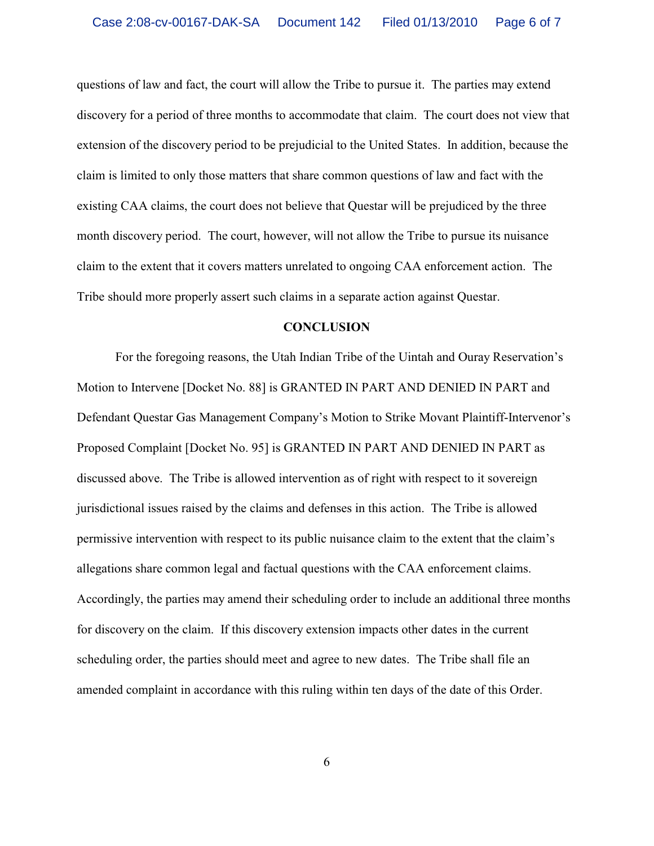questions of law and fact, the court will allow the Tribe to pursue it. The parties may extend discovery for a period of three months to accommodate that claim. The court does not view that extension of the discovery period to be prejudicial to the United States. In addition, because the claim is limited to only those matters that share common questions of law and fact with the existing CAA claims, the court does not believe that Questar will be prejudiced by the three month discovery period. The court, however, will not allow the Tribe to pursue its nuisance claim to the extent that it covers matters unrelated to ongoing CAA enforcement action. The Tribe should more properly assert such claims in a separate action against Questar.

#### **CONCLUSION**

For the foregoing reasons, the Utah Indian Tribe of the Uintah and Ouray Reservation's Motion to Intervene [Docket No. 88] is GRANTED IN PART AND DENIED IN PART and Defendant Questar Gas Management Company's Motion to Strike Movant Plaintiff-Intervenor's Proposed Complaint [Docket No. 95] is GRANTED IN PART AND DENIED IN PART as discussed above. The Tribe is allowed intervention as of right with respect to it sovereign jurisdictional issues raised by the claims and defenses in this action. The Tribe is allowed permissive intervention with respect to its public nuisance claim to the extent that the claim's allegations share common legal and factual questions with the CAA enforcement claims. Accordingly, the parties may amend their scheduling order to include an additional three months for discovery on the claim. If this discovery extension impacts other dates in the current scheduling order, the parties should meet and agree to new dates. The Tribe shall file an amended complaint in accordance with this ruling within ten days of the date of this Order.

6